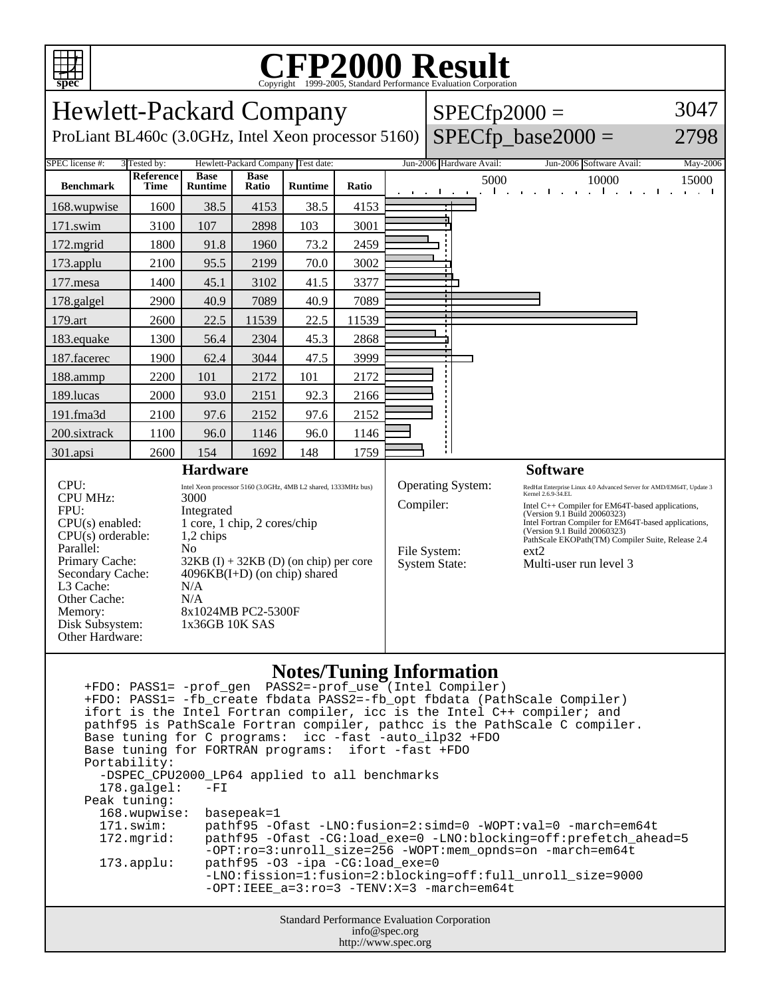

## C<sub>opyright</sub> ©1999-2005, Standard Performance Evaluation Corporation

| <b>Hewlett-Packard Company</b><br>ProLiant BL460c (3.0GHz, Intel Xeon processor 5160)                                                                                                                         |                                   |                                                                                                                                                                                                                                                                                                            |                      |                                                      |       | $SPECfp2000 =$ | $SPECfp\_base2000 =$                                                             | 3047<br>2798                                                                                                                                                                                                                                                                                                                                                                    |                   |
|---------------------------------------------------------------------------------------------------------------------------------------------------------------------------------------------------------------|-----------------------------------|------------------------------------------------------------------------------------------------------------------------------------------------------------------------------------------------------------------------------------------------------------------------------------------------------------|----------------------|------------------------------------------------------|-------|----------------|----------------------------------------------------------------------------------|---------------------------------------------------------------------------------------------------------------------------------------------------------------------------------------------------------------------------------------------------------------------------------------------------------------------------------------------------------------------------------|-------------------|
| <b>SPEC</b> license #:<br><b>Benchmark</b>                                                                                                                                                                    | 3 Tested by:<br>Reference<br>Time | <b>Base</b><br><b>Runtime</b>                                                                                                                                                                                                                                                                              | <b>Base</b><br>Ratio | Hewlett-Packard Company Test date:<br><b>Runtime</b> | Ratio |                | Jun-2006 Hardware Avail:<br>5000<br>$\mathbf{I}$<br>the contract of the contract | Jun-2006 Software Avail:<br>10000<br>п.                                                                                                                                                                                                                                                                                                                                         | May-2006<br>15000 |
| 168.wupwise                                                                                                                                                                                                   | 1600                              | 38.5                                                                                                                                                                                                                                                                                                       | 4153                 | 38.5                                                 | 4153  |                |                                                                                  |                                                                                                                                                                                                                                                                                                                                                                                 |                   |
| 171.swim                                                                                                                                                                                                      | 3100                              | 107                                                                                                                                                                                                                                                                                                        | 2898                 | 103                                                  | 3001  |                |                                                                                  |                                                                                                                                                                                                                                                                                                                                                                                 |                   |
| 172.mgrid                                                                                                                                                                                                     | 1800                              | 91.8                                                                                                                                                                                                                                                                                                       | 1960                 | 73.2                                                 | 2459  |                |                                                                                  |                                                                                                                                                                                                                                                                                                                                                                                 |                   |
| 173.applu                                                                                                                                                                                                     | 2100                              | 95.5                                                                                                                                                                                                                                                                                                       | 2199                 | 70.0                                                 | 3002  |                |                                                                                  |                                                                                                                                                                                                                                                                                                                                                                                 |                   |
| 177.mesa                                                                                                                                                                                                      | 1400                              | 45.1                                                                                                                                                                                                                                                                                                       | 3102                 | 41.5                                                 | 3377  |                |                                                                                  |                                                                                                                                                                                                                                                                                                                                                                                 |                   |
| 178.galgel                                                                                                                                                                                                    | 2900                              | 40.9                                                                                                                                                                                                                                                                                                       | 7089                 | 40.9                                                 | 7089  |                |                                                                                  |                                                                                                                                                                                                                                                                                                                                                                                 |                   |
| 179.art                                                                                                                                                                                                       | 2600                              | 22.5                                                                                                                                                                                                                                                                                                       | 11539                | 22.5                                                 | 11539 |                |                                                                                  |                                                                                                                                                                                                                                                                                                                                                                                 |                   |
| 183.equake                                                                                                                                                                                                    | 1300                              | 56.4                                                                                                                                                                                                                                                                                                       | 2304                 | 45.3                                                 | 2868  |                |                                                                                  |                                                                                                                                                                                                                                                                                                                                                                                 |                   |
| 187.facerec                                                                                                                                                                                                   | 1900                              | 62.4                                                                                                                                                                                                                                                                                                       | 3044                 | 47.5                                                 | 3999  |                |                                                                                  |                                                                                                                                                                                                                                                                                                                                                                                 |                   |
| 188.ammp                                                                                                                                                                                                      | 2200                              | 101                                                                                                                                                                                                                                                                                                        | 2172                 | 101                                                  | 2172  |                |                                                                                  |                                                                                                                                                                                                                                                                                                                                                                                 |                   |
| 189.lucas                                                                                                                                                                                                     | 2000                              | 93.0                                                                                                                                                                                                                                                                                                       | 2151                 | 92.3                                                 | 2166  |                |                                                                                  |                                                                                                                                                                                                                                                                                                                                                                                 |                   |
| 191.fma3d                                                                                                                                                                                                     | 2100                              | 97.6                                                                                                                                                                                                                                                                                                       | 2152                 | 97.6                                                 | 2152  |                |                                                                                  |                                                                                                                                                                                                                                                                                                                                                                                 |                   |
| 200.sixtrack                                                                                                                                                                                                  | 1100                              | 96.0                                                                                                                                                                                                                                                                                                       | 1146                 | 96.0                                                 | 1146  |                |                                                                                  |                                                                                                                                                                                                                                                                                                                                                                                 |                   |
| 301.apsi                                                                                                                                                                                                      | 2600                              | 154                                                                                                                                                                                                                                                                                                        | 1692                 | 148                                                  | 1759  |                |                                                                                  |                                                                                                                                                                                                                                                                                                                                                                                 |                   |
| CPI:<br><b>CPU MHz:</b><br>FPII:<br>$CPU(s)$ enabled:<br>$CPU(s)$ orderable:<br>Parallel:<br>Primary Cache:<br>Secondary Cache:<br>L3 Cache:<br>Other Cache:<br>Memory:<br>Disk Subsystem:<br>Other Hardware: |                                   | <b>Hardware</b><br>Intel Xeon processor 5160 (3.0GHz, 4MB L2 shared, 1333MHz bus)<br>3000<br>Integrated<br>1 core, 1 chip, 2 cores/chip<br>1,2 chips<br>N <sub>0</sub><br>$32KB$ (I) + 32KB (D) (on chip) per core<br>$4096KB(I+D)$ (on chip) shared<br>N/A<br>N/A<br>8x1024MB PC2-5300F<br>1x36GB 10K SAS |                      |                                                      |       | Compiler:      | <b>Operating System:</b><br>File System:<br><b>System State:</b>                 | <b>Software</b><br>RedHat Enterprise Linux 4.0 Advanced Server for AMD/EM64T, Update 3<br>Kernel 2.6.9-34.EL<br>Intel C++ Compiler for EM64T-based applications,<br>(Version 9.1 Build 20060323)<br>Intel Fortran Compiler for EM64T-based applications,<br>(Version 9.1 Build 20060323)<br>PathScale EKOPath(TM) Compiler Suite, Release 2.4<br>ext2<br>Multi-user run level 3 |                   |
|                                                                                                                                                                                                               |                                   |                                                                                                                                                                                                                                                                                                            |                      |                                                      |       |                |                                                                                  |                                                                                                                                                                                                                                                                                                                                                                                 |                   |

## **Notes/Tuning Information**

|                                                    |                                                        | +FDO: PASS1= -fb create fbdata PASS2=-fb opt fbdata (PathScale Compiler)<br>ifort is the Intel Fortran compiler, icc is the Intel C++ compiler; and |  |  |  |  |  |  |
|----------------------------------------------------|--------------------------------------------------------|-----------------------------------------------------------------------------------------------------------------------------------------------------|--|--|--|--|--|--|
|                                                    |                                                        | pathf95 is PathScale Fortran compiler, pathcc is the PathScale C compiler.                                                                          |  |  |  |  |  |  |
|                                                    | Base tuning for C programs: icc -fast -auto ilp32 +FDO |                                                                                                                                                     |  |  |  |  |  |  |
|                                                    | Base tuning for FORTRAN programs: ifort -fast +FDO     |                                                                                                                                                     |  |  |  |  |  |  |
|                                                    | Portability:                                           |                                                                                                                                                     |  |  |  |  |  |  |
|                                                    | -DSPEC CPU2000 LP64 applied to all benchmarks          |                                                                                                                                                     |  |  |  |  |  |  |
|                                                    | $178.\texttt{qalqel:}$                                 | $-FI$                                                                                                                                               |  |  |  |  |  |  |
|                                                    | Peak tuning:                                           |                                                                                                                                                     |  |  |  |  |  |  |
|                                                    | 168.wupwise: basepeak=1                                |                                                                                                                                                     |  |  |  |  |  |  |
|                                                    | 171.swim:                                              | pathf95 -Ofast -LNO:fusion=2:simd=0 -WOPT:val=0 -march=em64t                                                                                        |  |  |  |  |  |  |
|                                                    | 172.mqrid:                                             | pathf95 -Ofast -CG:load_exe=0 -LNO:blocking=off:prefetch ahead=5<br>$-OPT:ro=3:unroll_size=256 - WOPT:mem\_opnds=on -march=em64t$                   |  |  |  |  |  |  |
|                                                    | $173.\texttt{applu}:$                                  | $pathf95 -03 -ipa -CG:loadexe=0$                                                                                                                    |  |  |  |  |  |  |
|                                                    |                                                        | -LNO:fission=1:fusion=2:blocking=off:full_unroll_size=9000                                                                                          |  |  |  |  |  |  |
|                                                    |                                                        | $-OPT:IERE$ a=3: $ro=3$ -TENV:X=3 -march=em64t                                                                                                      |  |  |  |  |  |  |
| <b>Standard Performance Evaluation Corporation</b> |                                                        |                                                                                                                                                     |  |  |  |  |  |  |
|                                                    | info@spec.org                                          |                                                                                                                                                     |  |  |  |  |  |  |

http://www.spec.org